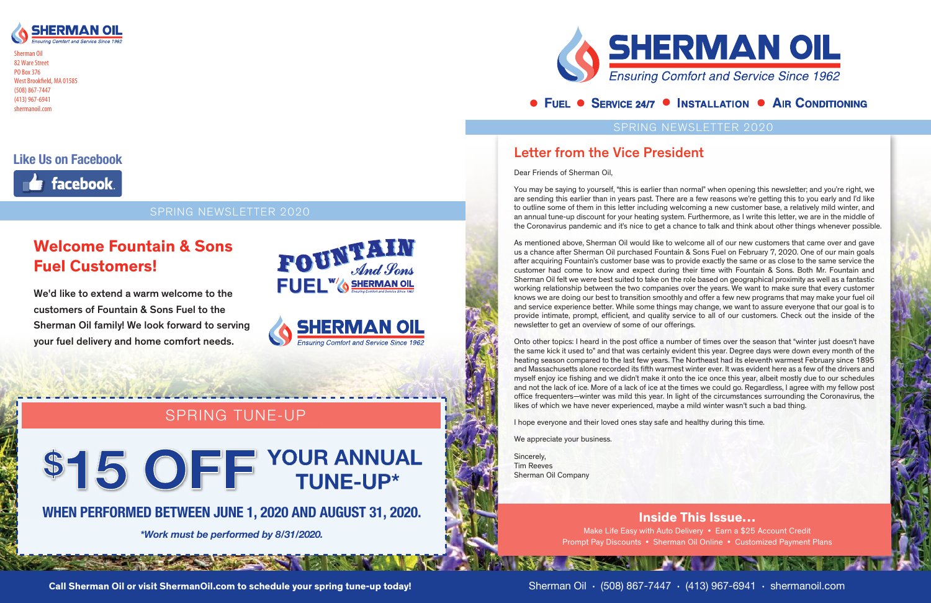#### SPRING NEWSLETTER 2020



Sherman Oil 82 Ware Street PO Box 376 West Brookfield, MA 01585 (508) 867-7447 (413) 967-6941 shermanoil.com

### SPRING NEWSLETTER 2020

### **Like Us on Facebook**



Inside This Issue… Make Life Easy with Auto Delivery • Earn a \$25 Account Credit Prompt Pay Discounts • Sherman Oil Online • Customized Payment Plans

### Letter from the Vice President

Dear Friends of Sherman Oil,

You may be saying to yourself, "this is earlier than normal" when opening this newsletter; and you're right, we are sending this earlier than in years past. There are a few reasons we're getting this to you early and I'd like to outline some of them in this letter including welcoming a new customer base, a relatively mild winter, and an annual tune-up discount for your heating system. Furthermore, as I write this letter, we are in the middle of the Coronavirus pandemic and it's nice to get a chance to talk and think about other things whenever possible.

As mentioned above, Sherman Oil would like to welcome all of our new customers that came over and gave us a chance after Sherman Oil purchased Fountain & Sons Fuel on February 7, 2020. One of our main goals after acquiring Fountain's customer base was to provide exactly the same or as close to the same service the customer had come to know and expect during their time with Fountain & Sons. Both Mr. Fountain and Sherman Oil felt we were best suited to take on the role based on geographical proximity as well as a fantastic working relationship between the two companies over the years. We want to make sure that every customer knows we are doing our best to transition smoothly and offer a few new programs that may make your fuel oil and service experience better. While some things may change, we want to assure everyone that our goal is to provide intimate, prompt, efficient, and quality service to all of our customers. Check out the inside of the newsletter to get an overview of some of our offerings.

Onto other topics: I heard in the post office a number of times over the season that "winter just doesn't have the same kick it used to" and that was certainly evident this year. Degree days were down every month of the heating season compared to the last few years. The Northeast had its eleventh warmest February since 1895 and Massachusetts alone recorded its fifth warmest winter ever. It was evident here as a few of the drivers and myself enjoy ice fishing and we didn't make it onto the ice once this year, albeit mostly due to our schedules and not the lack of ice. More of a lack of ice at the times we could go. Regardless, I agree with my fellow post office frequenters—winter was mild this year. In light of the circumstances surrounding the Coronavirus, the likes of which we have never experienced, maybe a mild winter wasn't such a bad thing.

I hope everyone and their loved ones stay safe and healthy during this time.

We appreciate your business.

Sincerely, Tim Reeves Sherman Oil Company

### **WHEN PERFORMED BETWEEN JUNE 1, 2020 AND AUGUST 31, 2020.**

*\*Work must be performed by 8/31/2020.* 



### • FUEL • SERVICE 24/7 • INSTALLATION • AIR CONDITIONING

### SPRING TUNE-UP

# \$15 OFF YOUR ANNUAL

We'd like to extend a warm welcome to the customers of Fountain & Sons Fuel to the Sherman Oil family! We look forward to serving your fuel delivery and home comfort needs.





### Welcome Fountain & Sons Fuel Customers!